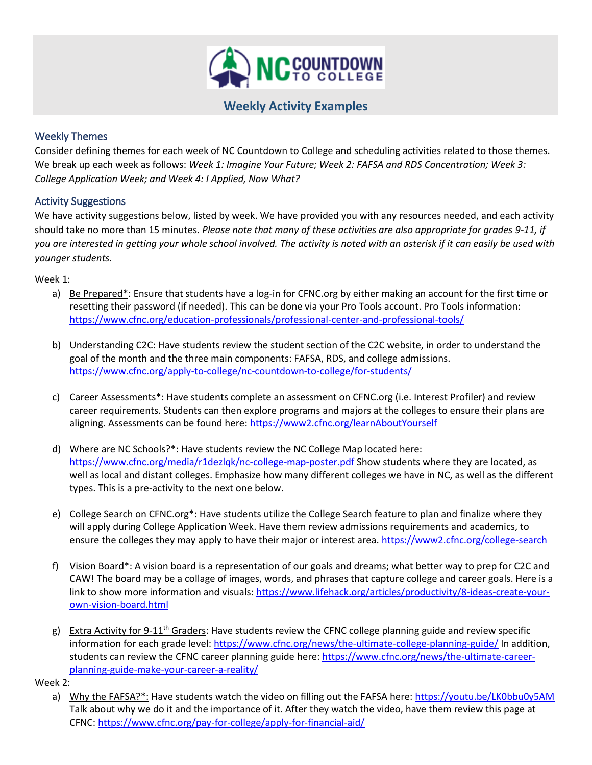

# **Weekly Activity Examples**

## Weekly Themes

Consider defining themes for each week of NC Countdown to College and scheduling activities related to those themes. We break up each week as follows: *Week 1: Imagine Your Future; Week 2: FAFSA and RDS Concentration; Week 3: College Application Week; and Week 4: I Applied, Now What?*

### Activity Suggestions

We have activity suggestions below, listed by week. We have provided you with any resources needed, and each activity should take no more than 15 minutes. *Please note that many of these activities are also appropriate for grades 9-11, if you are interested in getting your whole school involved. The activity is noted with an asterisk if it can easily be used with younger students.*

Week 1:

- a) Be Prepared\*: Ensure that students have a log-in for CFNC.org by either making an account for the first time or resetting their password (if needed). This can be done via your Pro Tools account. Pro Tools information: <https://www.cfnc.org/education-professionals/professional-center-and-professional-tools/>
- b) Understanding C2C: Have students review the student section of the C2C website, in order to understand the goal of the month and the three main components: FAFSA, RDS, and college admissions. <https://www.cfnc.org/apply-to-college/nc-countdown-to-college/for-students/>
- c) Career Assessments<sup>\*</sup>: Have students complete an assessment on CFNC.org (i.e. Interest Profiler) and review career requirements. Students can then explore programs and majors at the colleges to ensure their plans are aligning. Assessments can be found here[: https://www2.cfnc.org/learnAboutYourself](https://www2.cfnc.org/learnAboutYourself)
- d) Where are NC Schools?\*: Have students review the NC College Map located here: <https://www.cfnc.org/media/r1dezlqk/nc-college-map-poster.pdf> Show students where they are located, as well as local and distant colleges. Emphasize how many different colleges we have in NC, as well as the different types. This is a pre-activity to the next one below.
- e) College Search on CFNC.org\*: Have students utilize the College Search feature to plan and finalize where they will apply during College Application Week. Have them review admissions requirements and academics, to ensure the colleges they may apply to have their major or interest area[. https://www2.cfnc.org/college-search](https://www2.cfnc.org/college-search)
- f) Vision Board\*: A vision board is a representation of our goals and dreams; what better way to prep for C2C and CAW! The board may be a collage of images, words, and phrases that capture college and career goals. Here is a link to show more information and visuals: [https://www.lifehack.org/articles/productivity/8-ideas-create-your](https://www.lifehack.org/articles/productivity/8-ideas-create-your-own-vision-board.html)[own-vision-board.html](https://www.lifehack.org/articles/productivity/8-ideas-create-your-own-vision-board.html)
- g) Extra Activity for 9-11<sup>th</sup> Graders: Have students review the CFNC college planning guide and review specific information for each grade level:<https://www.cfnc.org/news/the-ultimate-college-planning-guide/> In addition, students can review the CFNC career planning guide here: [https://www.cfnc.org/news/the-ultimate-career](https://www.cfnc.org/news/the-ultimate-career-planning-guide-make-your-career-a-reality/)[planning-guide-make-your-career-a-reality/](https://www.cfnc.org/news/the-ultimate-career-planning-guide-make-your-career-a-reality/)

Week 2:

a) Why the FAFSA?\*: Have students watch the video on filling out the FAFSA here:<https://youtu.be/LK0bbu0y5AM> Talk about why we do it and the importance of it. After they watch the video, have them review this page at CFNC:<https://www.cfnc.org/pay-for-college/apply-for-financial-aid/>